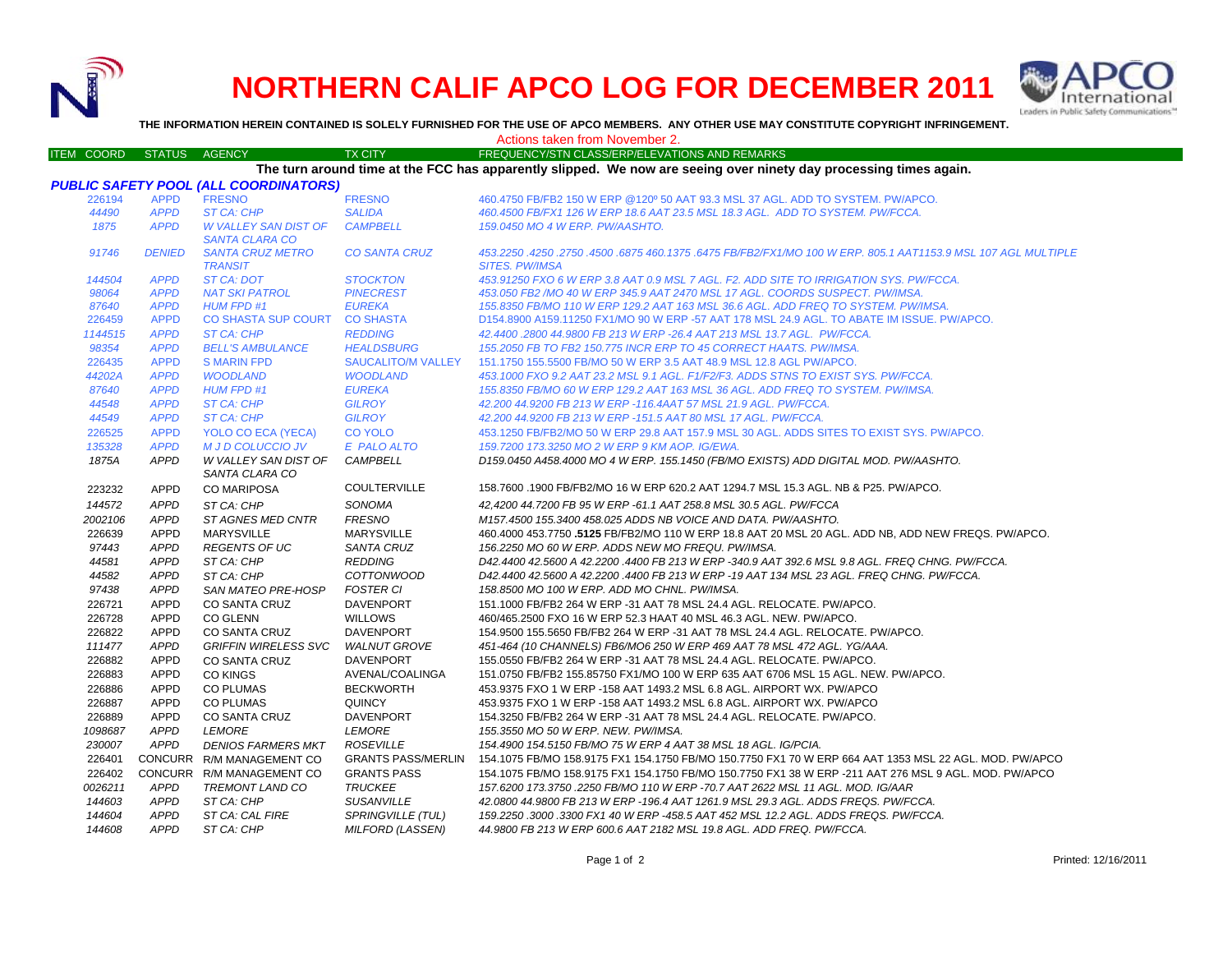

## **NORTHERN CALIF APCO LOG FOR DECEMBER 2011**



**THE INFORMATION HEREIN CONTAINED IS SOLELY FURNISHED FOR THE USE OF APCO MEMBERS. ANY OTHER USE MAY CONSTITUTE COPYRIGHT INFRINGEMENT.**

Actions taken from November 2.

| ITEM COORD STATUS AGENCY |               |                                              | <b>TX CITY</b>            | FREQUENCY/STN CLASS/ERP/ELEVATIONS AND REMARKS                                                                    |
|--------------------------|---------------|----------------------------------------------|---------------------------|-------------------------------------------------------------------------------------------------------------------|
|                          |               |                                              |                           | The turn around time at the FCC has apparently slipped. We now are seeing over ninety day processing times again. |
|                          |               | <b>PUBLIC SAFETY POOL (ALL COORDINATORS)</b> |                           |                                                                                                                   |
| 226194                   | <b>APPD</b>   | <b>FRESNO</b>                                | <b>FRESNO</b>             | 460.4750 FB/FB2 150 W ERP @120° 50 AAT 93.3 MSL 37 AGL. ADD TO SYSTEM. PW/APCO.                                   |
| 44490                    | <b>APPD</b>   | <b>ST CA: CHP</b>                            | <b>SALIDA</b>             | 460.4500 FB/FX1 126 W ERP 18.6 AAT 23.5 MSL 18.3 AGL. ADD TO SYSTEM. PW/FCCA.                                     |
| 1875                     | <b>APPD</b>   | <b>W VALLEY SAN DIST OF</b>                  | <b>CAMPBELL</b>           | 159.0450 MO 4 W ERP. PW/AASHTO.                                                                                   |
|                          |               | <b>SANTA CLARA CO</b>                        |                           |                                                                                                                   |
| 91746                    | <b>DENIED</b> | <b>SANTA CRUZ METRO</b>                      | <b>CO SANTA CRUZ</b>      | 453.2250 .4250 .2750 .4500 .6875 460.1375 .6475 FB/FB2/FX1/MO 100 W ERP. 805.1 AAT1153.9 MSL 107 AGL MULTIPLE     |
|                          |               | <b>TRANSIT</b>                               |                           | <b>SITES. PW/IMSA</b>                                                                                             |
| 144504                   | <b>APPD</b>   | <b>ST CA: DOT</b>                            | <b>STOCKTON</b>           | 453.91250 FXO 6 W ERP 3.8 AAT 0.9 MSL 7 AGL. F2. ADD SITE TO IRRIGATION SYS. PW/FCCA.                             |
| 98064                    | <b>APPD</b>   | <b>NAT SKI PATROL</b>                        | <b>PINECREST</b>          | 453.050 FB2 /MO 40 W ERP 345.9 AAT 2470 MSL 17 AGL. COORDS SUSPECT. PW/IMSA.                                      |
| 87640                    | <b>APPD</b>   | <b>HUM FPD #1</b>                            | <b>EUREKA</b>             | 155.8350 FB/MO 110 W ERP 129.2 AAT 163 MSL 36.6 AGL. ADD FREQ TO SYSTEM. PW/IMSA.                                 |
| 226459                   | <b>APPD</b>   | CO SHASTA SUP COURT CO SHASTA                |                           | D154.8900 A159.11250 FX1/MO 90 W ERP -57 AAT 178 MSL 24.9 AGL. TO ABATE IM ISSUE, PW/APCO,                        |
| 1144515                  | <b>APPD</b>   | ST CA: CHP                                   | <b>REDDING</b>            | 42.4400.2800 44.9800 FB 213 W ERP -26.4 AAT 213 MSL 13.7 AGL. PW/FCCA.                                            |
| 98354                    | <b>APPD</b>   | <b>BELL'S AMBULANCE</b>                      | <b>HEALDSBURG</b>         | 155.2050 FB TO FB2 150.775 INCR ERP TO 45 CORRECT HAATS. PW/IMSA.                                                 |
| 226435                   | <b>APPD</b>   | <b>S MARIN FPD</b>                           | <b>SAUCALITO/M VALLEY</b> | 151.1750 155.5500 FB/MO 50 W ERP 3.5 AAT 48.9 MSL 12.8 AGL PW/APCO.                                               |
| 44202A                   | <b>APPD</b>   | <b>WOODLAND</b>                              | <b>WOODLAND</b>           | 453.1000 FXO 9.2 AAT 23.2 MSL 9.1 AGL. F1/F2/F3. ADDS STNS TO EXIST SYS. PW/FCCA.                                 |
| 87640                    | <b>APPD</b>   | <b>HUM FPD #1</b>                            | <b>EUREKA</b>             | 155.8350 FB/MO 60 W ERP 129.2 AAT 163 MSL 36 AGL. ADD FREQ TO SYSTEM. PW/IMSA.                                    |
| 44548                    | <b>APPD</b>   | ST CA: CHP                                   | <b>GILROY</b>             | 42.200 44.9200 FB 213 W ERP -116.4AAT 57 MSL 21.9 AGL, PW/FCCA.                                                   |
| 44549                    | <b>APPD</b>   | <b>ST CA: CHP</b>                            | <b>GILROY</b>             | 42.200 44.9200 FB 213 W ERP -151.5 AAT 80 MSL 17 AGL. PW/FCCA.                                                    |
| 226525                   | <b>APPD</b>   | YOLO CO ECA (YECA)                           | <b>CO YOLO</b>            | 453.1250 FB/FB2/MO 50 W ERP 29.8 AAT 157.9 MSL 30 AGL. ADDS SITES TO EXIST SYS. PW/APCO.                          |
| 135328                   | <b>APPD</b>   | <b>M J D COLUCCIO JV</b>                     | E PALO ALTO               | 159.7200 173.3250 MO 2 W ERP 9 KM AOP. IG/EWA.                                                                    |
|                          | <b>APPD</b>   | W VALLEY SAN DIST OF                         | CAMPBELL                  | D159.0450 A458.4000 MO 4 W ERP. 155.1450 (FB/MO EXISTS) ADD DIGITAL MOD. PW/AASHTO.                               |
| 1875A                    |               |                                              |                           |                                                                                                                   |
|                          |               | SANTA CLARA CO                               | <b>COULTERVILLE</b>       | 158.7600 .1900 FB/FB2/MO 16 W ERP 620.2 AAT 1294.7 MSL 15.3 AGL. NB & P25. PW/APCO.                               |
| 223232                   | <b>APPD</b>   | <b>CO MARIPOSA</b>                           |                           |                                                                                                                   |
| 144572                   | <b>APPD</b>   | ST CA: CHP                                   | SONOMA                    | 42,4200 44.7200 FB 95 W ERP -61.1 AAT 258.8 MSL 30.5 AGL. PW/FCCA                                                 |
| 2002106                  | <b>APPD</b>   | ST AGNES MED CNTR                            | <b>FRESNO</b>             | M157.4500 155.3400 458.025 ADDS NB VOICE AND DATA, PW/AASHTO.                                                     |
| 226639                   | <b>APPD</b>   | <b>MARYSVILLE</b>                            | <b>MARYSVILLE</b>         | 460.4000 453.7750 .5125 FB/FB2/MO 110 W ERP 18.8 AAT 20 MSL 20 AGL. ADD NB, ADD NEW FREQS. PW/APCO.               |
| 97443                    | <b>APPD</b>   | <b>REGENTS OF UC</b>                         | <b>SANTA CRUZ</b>         | 156.2250 MO 60 W ERP. ADDS NEW MO FREQU. PW/IMSA.                                                                 |
| 44581                    | <b>APPD</b>   | ST CA: CHP                                   | <b>REDDING</b>            | D42.4400 42.5600 A 42.2200 .4400 FB 213 W ERP -340.9 AAT 392.6 MSL 9.8 AGL. FREQ CHNG. PW/FCCA.                   |
| 44582                    | <b>APPD</b>   | ST CA: CHP                                   | <b>COTTONWOOD</b>         | D42.4400 42.5600 A 42.2200 .4400 FB 213 W ERP -19 AAT 134 MSL 23 AGL. FREQ CHNG. PW/FCCA.                         |
| 97438                    | <b>APPD</b>   | <b>SAN MATEO PRE-HOSP</b>                    | <b>FOSTER CI</b>          | 158.8500 MO 100 W ERP. ADD MO CHNL. PW/IMSA.                                                                      |
| 226721                   | <b>APPD</b>   | <b>CO SANTA CRUZ</b>                         | <b>DAVENPORT</b>          | 151.1000 FB/FB2 264 W ERP -31 AAT 78 MSL 24.4 AGL, RELOCATE, PW/APCO.                                             |
| 226728                   | <b>APPD</b>   | <b>CO GLENN</b>                              | <b>WILLOWS</b>            | 460/465.2500 FXO 16 W ERP 52.3 HAAT 40 MSL 46.3 AGL. NEW. PW/APCO.                                                |
| 226822                   | <b>APPD</b>   | <b>CO SANTA CRUZ</b>                         | <b>DAVENPORT</b>          | 154.9500 155.5650 FB/FB2 264 W ERP -31 AAT 78 MSL 24.4 AGL. RELOCATE. PW/APCO.                                    |
| 111477                   | <b>APPD</b>   | <b>GRIFFIN WIRELESS SVC</b>                  | <b>WALNUT GROVE</b>       | 451-464 (10 CHANNELS) FB6/MO6 250 W ERP 469 AAT 78 MSL 472 AGL. YG/AAA.                                           |
| 226882                   | <b>APPD</b>   | CO SANTA CRUZ                                | <b>DAVENPORT</b>          | 155,0550 FB/FB2 264 W ERP -31 AAT 78 MSL 24.4 AGL, RELOCATE, PW/APCO.                                             |
| 226883                   | <b>APPD</b>   | <b>CO KINGS</b>                              | AVENAL/COALINGA           | 151.0750 FB/FB2 155.85750 FX1/MO 100 W ERP 635 AAT 6706 MSL 15 AGL. NEW. PW/APCO.                                 |
| 226886                   | <b>APPD</b>   | <b>CO PLUMAS</b>                             | <b>BECKWORTH</b>          | 453.9375 FXO 1 W ERP -158 AAT 1493.2 MSL 6.8 AGL, AIRPORT WX, PW/APCO                                             |
| 226887                   | <b>APPD</b>   | <b>CO PLUMAS</b>                             | <b>QUINCY</b>             | 453.9375 FXO 1 W ERP -158 AAT 1493.2 MSL 6.8 AGL. AIRPORT WX. PW/APCO                                             |
| 226889                   | <b>APPD</b>   | <b>CO SANTA CRUZ</b>                         | <b>DAVENPORT</b>          | 154.3250 FB/FB2 264 W ERP -31 AAT 78 MSL 24.4 AGL. RELOCATE. PW/APCO.                                             |
| 1098687                  | <b>APPD</b>   | <b>LEMORE</b>                                | <b>LEMORE</b>             | 155.3550 MO 50 W ERP. NEW. PW/IMSA.                                                                               |
| 230007                   | <b>APPD</b>   | <b>DENIOS FARMERS MKT</b>                    | <b>ROSEVILLE</b>          | 154.4900 154.5150 FB/MO 75 W ERP 4 AAT 38 MSL 18 AGL. IG/PCIA.                                                    |
| 226401                   |               | CONCURR R/M MANAGEMENT CO                    | <b>GRANTS PASS/MERLIN</b> | 154.1075 FB/MO 158.9175 FX1 154.1750 FB/MO 150.7750 FX1 70 W ERP 664 AAT 1353 MSL 22 AGL. MOD. PW/APCO            |
|                          |               |                                              |                           |                                                                                                                   |
| 226402                   |               | CONCURR R/M MANAGEMENT CO                    | <b>GRANTS PASS</b>        | 154.1075 FB/MO 158.9175 FX1 154.1750 FB/MO 150.7750 FX1 38 W ERP -211 AAT 276 MSL 9 AGL. MOD. PW/APCO             |
| 0026211                  | <b>APPD</b>   | TREMONT LAND CO                              | <b>TRUCKEE</b>            | 157.6200 173.3750 .2250 FB/MO 110 W ERP -70.7 AAT 2622 MSL 11 AGL. MOD. IG/AAR                                    |
| 144603                   | <b>APPD</b>   | ST CA: CHP                                   | <b>SUSANVILLE</b>         | 42.0800 44.9800 FB 213 W ERP -196.4 AAT 1261.9 MSL 29.3 AGL. ADDS FREQS. PW/FCCA.                                 |
| 144604                   | <b>APPD</b>   | ST CA: CAL FIRE                              | <b>SPRINGVILLE (TUL)</b>  | 159.2250.3000.3300 FX1 40 W ERP -458.5 AAT 452 MSL 12.2 AGL. ADDS FREQS. PW/FCCA.                                 |
| 144608                   | <b>APPD</b>   | ST CA: CHP                                   | <b>MILFORD (LASSEN)</b>   | 44.9800 FB 213 W ERP 600.6 AAT 2182 MSL 19.8 AGL. ADD FREQ. PW/FCCA.                                              |